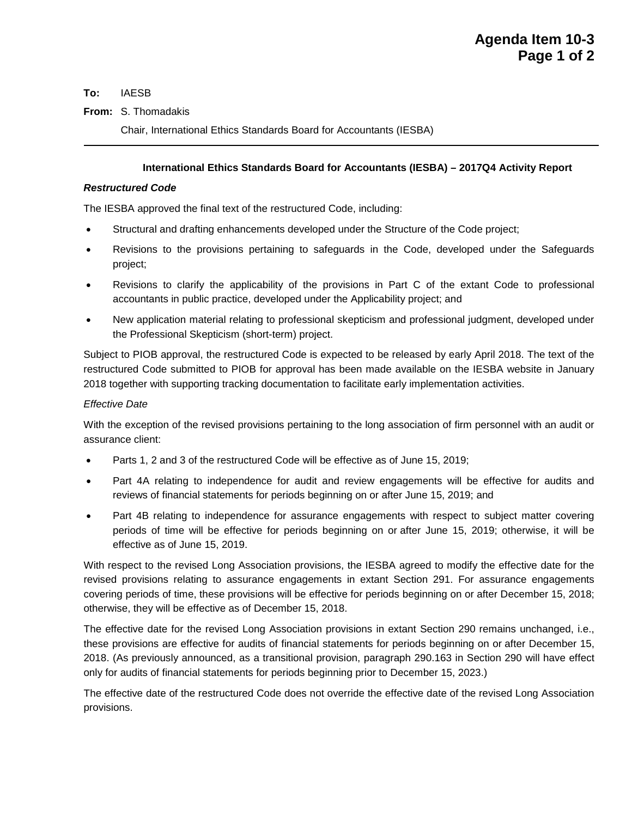**To:** IAESB

### **From:** S. Thomadakis

Chair, International Ethics Standards Board for Accountants (IESBA)

## **International Ethics Standards Board for Accountants (IESBA) – 2017Q4 Activity Report**

#### *Restructured Code*

The IESBA approved the final text of the restructured Code, including:

- Structural and drafting enhancements developed under the Structure of the Code project;
- Revisions to the provisions pertaining to safeguards in the Code, developed under the Safeguards project;
- Revisions to clarify the applicability of the provisions in Part C of the extant Code to professional accountants in public practice, developed under the Applicability project; and
- New application material relating to professional skepticism and professional judgment, developed under the Professional Skepticism (short-term) project.

Subject to PIOB approval, the restructured Code is expected to be released by early April 2018. The text of the restructured Code submitted to PIOB for approval has been made available on the IESBA website in January 2018 together with supporting tracking documentation to facilitate early implementation activities.

# *Effective Date*

With the exception of the revised provisions pertaining to the long association of firm personnel with an audit or assurance client:

- Parts 1, 2 and 3 of the restructured Code will be effective as of [June 15, 2019;](x-apple-data-detectors://2/)
- Part 4A relating to independence for audit and review engagements will be effective for audits and reviews of financial statements for periods beginning on or [after June 15, 2019;](x-apple-data-detectors://3/) and
- Part 4B relating to independence for assurance engagements with respect to subject matter covering periods of time will be effective for periods beginning on or [after June 15, 2019;](x-apple-data-detectors://4/) otherwise, it will be effective as of [June 15, 2019.](x-apple-data-detectors://5/)

With respect to the revised Long Association provisions, the IESBA agreed to modify the effective date for the revised provisions relating to assurance engagements in extant Section 291. For assurance engagements covering periods of time, these provisions will be effective for periods beginning on or [after December 15, 2018;](x-apple-data-detectors://7/) otherwise, they will be effective as of [December 15, 2018.](x-apple-data-detectors://8/)

The effective date for the revised Long Association provisions in extant Section 290 remains unchanged, i.e., these provisions are effective for audits of financial statements for periods beginning on or [after December 15,](x-apple-data-detectors://6/)  [2018.](x-apple-data-detectors://6/) (As previously announced, as a transitional provision, paragraph 290.163 in Section 290 will have effect only for audits of financial statements for periods beginning prior to December 15, 2023.)

The effective date of the restructured Code does not override the effective date of the revised Long Association provisions.